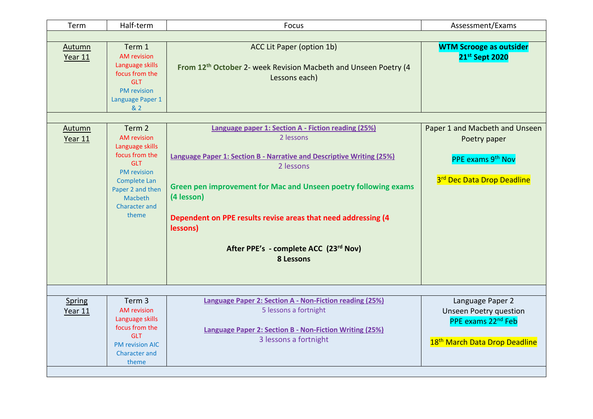| Half-term                                                                                                                                                                             | Focus                                                                                                                                                                                                                                                                                                                                                                             | Assessment/Exams                                                                                                                 |
|---------------------------------------------------------------------------------------------------------------------------------------------------------------------------------------|-----------------------------------------------------------------------------------------------------------------------------------------------------------------------------------------------------------------------------------------------------------------------------------------------------------------------------------------------------------------------------------|----------------------------------------------------------------------------------------------------------------------------------|
|                                                                                                                                                                                       |                                                                                                                                                                                                                                                                                                                                                                                   |                                                                                                                                  |
| Term 1<br><b>AM</b> revision<br>Language skills<br>focus from the<br><b>GLT</b><br><b>PM</b> revision<br>Language Paper 1<br>& 2                                                      | ACC Lit Paper (option 1b)<br>From 12th October 2- week Revision Macbeth and Unseen Poetry (4<br>Lessons each)                                                                                                                                                                                                                                                                     | <b>WTM Scrooge as outsider</b><br>21st Sept 2020                                                                                 |
|                                                                                                                                                                                       |                                                                                                                                                                                                                                                                                                                                                                                   |                                                                                                                                  |
| Term 2<br><b>AM</b> revision<br>Language skills<br>focus from the<br><b>GLT</b><br><b>PM</b> revision<br>Complete Lan<br>Paper 2 and then<br>Macbeth<br><b>Character and</b><br>theme | Language paper 1: Section A - Fiction reading (25%)<br>2 lessons<br><b>Language Paper 1: Section B - Narrative and Descriptive Writing (25%)</b><br>2 lessons<br>Green pen improvement for Mac and Unseen poetry following exams<br>(4 lesson)<br>Dependent on PPE results revise areas that need addressing (4<br>lessons)<br>After PPE's - complete ACC (23rd Nov)<br>8 Lessons | Paper 1 and Macbeth and Unseen<br>Poetry paper<br>PPE exams 9 <sup>th</sup> Nov<br>3rd Dec Data Drop Deadline                    |
|                                                                                                                                                                                       |                                                                                                                                                                                                                                                                                                                                                                                   |                                                                                                                                  |
| <b>AM</b> revision<br>Language skills<br>focus from the<br><b>GLT</b><br><b>PM revision AIC</b><br><b>Character and</b><br>theme                                                      | 5 lessons a fortnight<br><b>Language Paper 2: Section B - Non-Fiction Writing (25%)</b><br>3 lessons a fortnight                                                                                                                                                                                                                                                                  | Language Paper 2<br><b>Unseen Poetry question</b><br>PPE exams 22 <sup>nd</sup> Feb<br>18 <sup>th</sup> March Data Drop Deadline |
|                                                                                                                                                                                       | Term <sub>3</sub>                                                                                                                                                                                                                                                                                                                                                                 | Language Paper 2: Section A - Non-Fiction reading (25%)                                                                          |